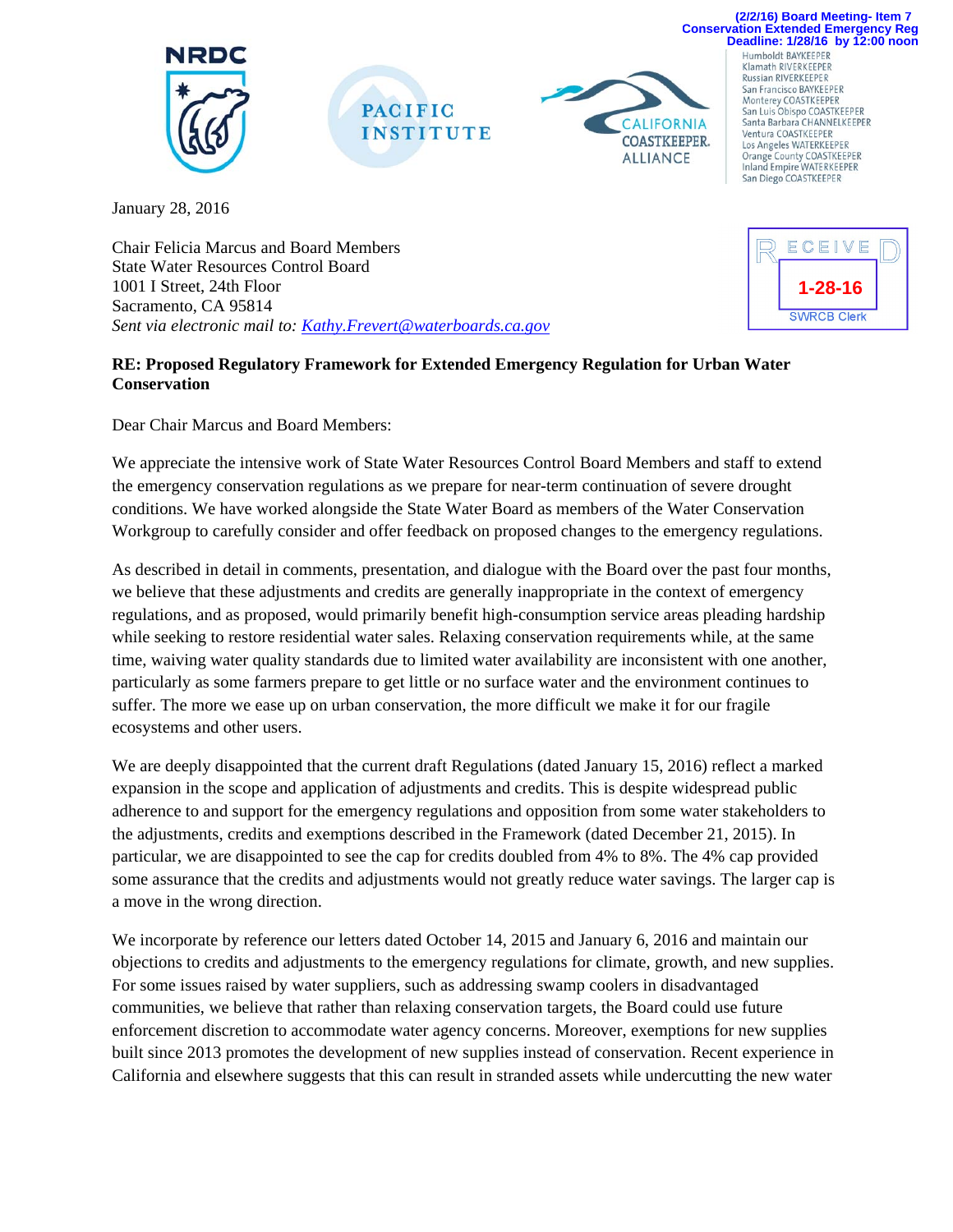





**Deadline: 1/28/16 by 12:00 noon** Humboldt BAYKEEPER Klamath RIVERKEEPER **Russian RIVERKEEPER** San Francisco BAYKEEPER Monterey COASTKEEPER<br>San Luis Obispo COASTKEEPER Santa Barbara CHANNELKEEPER Ventura COASTKEEPER<br>Los Angeles WATERKEEPER Orange County COASTKEEPER Inland Empire WATERKEEPER

San Diego COASTKEEPER

**(2/2/16) Board Meeting- Item 7 Conservation Extended Emergency Reg**

January 28, 2016

Chair Felicia Marcus and Board Members State Water Resources Control Board 1001 I Street, 24th Floor Sacramento, CA 95814 *Sent via electronic mail to: Kathy.Frevert@waterboards.ca.gov*

## ECEIVE **1-28-16SWRCB Clerk**

## **RE: Proposed Regulatory Framework for Extended Emergency Regulation for Urban Water Conservation**

Dear Chair Marcus and Board Members:

We appreciate the intensive work of State Water Resources Control Board Members and staff to extend the emergency conservation regulations as we prepare for near-term continuation of severe drought conditions. We have worked alongside the State Water Board as members of the Water Conservation Workgroup to carefully consider and offer feedback on proposed changes to the emergency regulations.

As described in detail in comments, presentation, and dialogue with the Board over the past four months, we believe that these adjustments and credits are generally inappropriate in the context of emergency regulations, and as proposed, would primarily benefit high-consumption service areas pleading hardship while seeking to restore residential water sales. Relaxing conservation requirements while, at the same time, waiving water quality standards due to limited water availability are inconsistent with one another, particularly as some farmers prepare to get little or no surface water and the environment continues to suffer. The more we ease up on urban conservation, the more difficult we make it for our fragile ecosystems and other users.

We are deeply disappointed that the current draft Regulations (dated January 15, 2016) reflect a marked expansion in the scope and application of adjustments and credits. This is despite widespread public adherence to and support for the emergency regulations and opposition from some water stakeholders to the adjustments, credits and exemptions described in the Framework (dated December 21, 2015). In particular, we are disappointed to see the cap for credits doubled from 4% to 8%. The 4% cap provided some assurance that the credits and adjustments would not greatly reduce water savings. The larger cap is a move in the wrong direction.

We incorporate by reference our letters dated October 14, 2015 and January 6, 2016 and maintain our objections to credits and adjustments to the emergency regulations for climate, growth, and new supplies. For some issues raised by water suppliers, such as addressing swamp coolers in disadvantaged communities, we believe that rather than relaxing conservation targets, the Board could use future enforcement discretion to accommodate water agency concerns. Moreover, exemptions for new supplies built since 2013 promotes the development of new supplies instead of conservation. Recent experience in California and elsewhere suggests that this can result in stranded assets while undercutting the new water